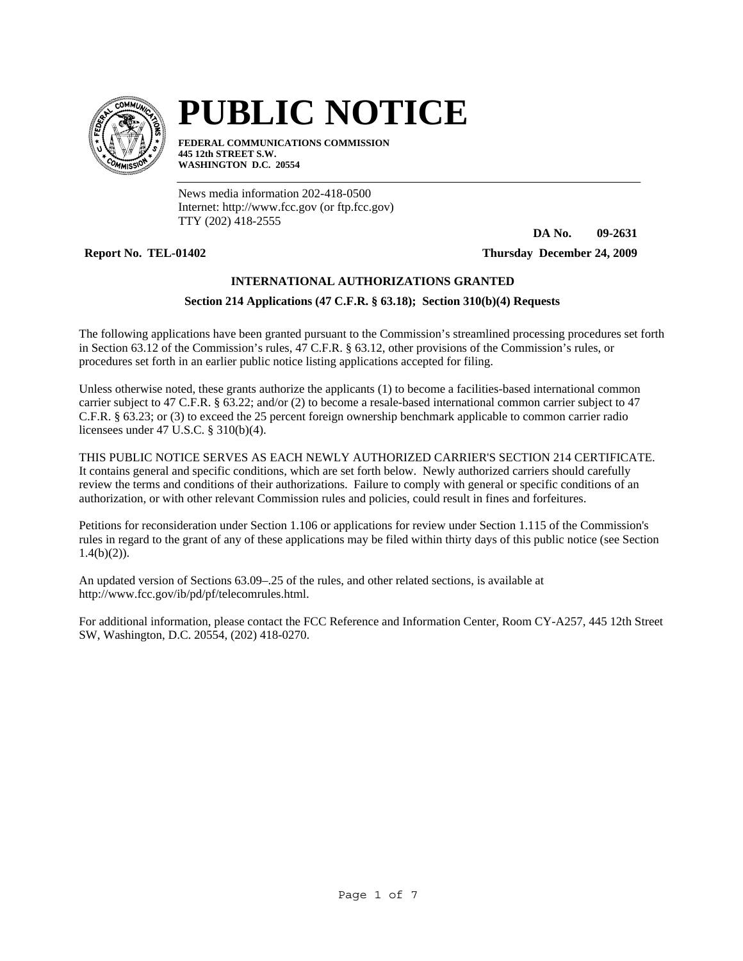

# **PUBLIC NOTICE**

**FEDERAL COMMUNICATIONS COMMISSION 445 12th STREET S.W. WASHINGTON D.C. 20554**

News media information 202-418-0500 Internet: http://www.fcc.gov (or ftp.fcc.gov) TTY (202) 418-2555

**DA No. 09-2631**

**Report No. TEL-01402 Thursday December 24, 2009**

# **INTERNATIONAL AUTHORIZATIONS GRANTED**

# **Section 214 Applications (47 C.F.R. § 63.18); Section 310(b)(4) Requests**

The following applications have been granted pursuant to the Commission's streamlined processing procedures set forth in Section 63.12 of the Commission's rules, 47 C.F.R. § 63.12, other provisions of the Commission's rules, or procedures set forth in an earlier public notice listing applications accepted for filing.

Unless otherwise noted, these grants authorize the applicants (1) to become a facilities-based international common carrier subject to 47 C.F.R. § 63.22; and/or (2) to become a resale-based international common carrier subject to 47 C.F.R. § 63.23; or (3) to exceed the 25 percent foreign ownership benchmark applicable to common carrier radio licensees under 47 U.S.C. § 310(b)(4).

THIS PUBLIC NOTICE SERVES AS EACH NEWLY AUTHORIZED CARRIER'S SECTION 214 CERTIFICATE. It contains general and specific conditions, which are set forth below. Newly authorized carriers should carefully review the terms and conditions of their authorizations. Failure to comply with general or specific conditions of an authorization, or with other relevant Commission rules and policies, could result in fines and forfeitures.

Petitions for reconsideration under Section 1.106 or applications for review under Section 1.115 of the Commission's rules in regard to the grant of any of these applications may be filed within thirty days of this public notice (see Section  $1.4(b)(2)$ ).

An updated version of Sections 63.09–.25 of the rules, and other related sections, is available at http://www.fcc.gov/ib/pd/pf/telecomrules.html.

For additional information, please contact the FCC Reference and Information Center, Room CY-A257, 445 12th Street SW, Washington, D.C. 20554, (202) 418-0270.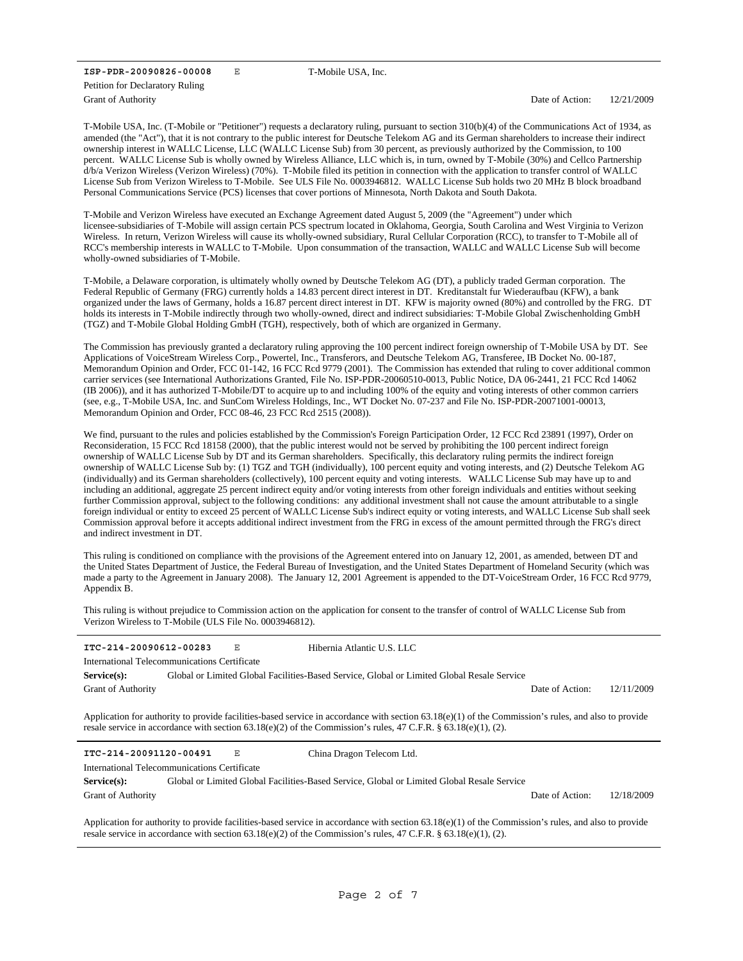**ISP-PDR-20090826-00008** E Grant of Authority Petition for Declaratory Ruling

T-Mobile USA, Inc.

Date of Action: 12/21/2009

T-Mobile USA, Inc. (T-Mobile or "Petitioner") requests a declaratory ruling, pursuant to section 310(b)(4) of the Communications Act of 1934, as amended (the "Act"), that it is not contrary to the public interest for Deutsche Telekom AG and its German shareholders to increase their indirect ownership interest in WALLC License, LLC (WALLC License Sub) from 30 percent, as previously authorized by the Commission, to 100 percent. WALLC License Sub is wholly owned by Wireless Alliance, LLC which is, in turn, owned by T-Mobile (30%) and Cellco Partnership d/b/a Verizon Wireless (Verizon Wireless) (70%). T-Mobile filed its petition in connection with the application to transfer control of WALLC License Sub from Verizon Wireless to T-Mobile. See ULS File No. 0003946812. WALLC License Sub holds two 20 MHz B block broadband Personal Communications Service (PCS) licenses that cover portions of Minnesota, North Dakota and South Dakota.

T-Mobile and Verizon Wireless have executed an Exchange Agreement dated August 5, 2009 (the "Agreement") under which licensee-subsidiaries of T-Mobile will assign certain PCS spectrum located in Oklahoma, Georgia, South Carolina and West Virginia to Verizon Wireless. In return, Verizon Wireless will cause its wholly-owned subsidiary, Rural Cellular Corporation (RCC), to transfer to T-Mobile all of RCC's membership interests in WALLC to T-Mobile. Upon consummation of the transaction, WALLC and WALLC License Sub will become wholly-owned subsidiaries of T-Mobile.

T-Mobile, a Delaware corporation, is ultimately wholly owned by Deutsche Telekom AG (DT), a publicly traded German corporation. The Federal Republic of Germany (FRG) currently holds a 14.83 percent direct interest in DT. Kreditanstalt fur Wiederaufbau (KFW), a bank organized under the laws of Germany, holds a 16.87 percent direct interest in DT. KFW is majority owned (80%) and controlled by the FRG. DT holds its interests in T-Mobile indirectly through two wholly-owned, direct and indirect subsidiaries: T-Mobile Global Zwischenholding GmbH (TGZ) and T-Mobile Global Holding GmbH (TGH), respectively, both of which are organized in Germany.

The Commission has previously granted a declaratory ruling approving the 100 percent indirect foreign ownership of T-Mobile USA by DT. See Applications of VoiceStream Wireless Corp., Powertel, Inc., Transferors, and Deutsche Telekom AG, Transferee, IB Docket No. 00-187, Memorandum Opinion and Order, FCC 01-142, 16 FCC Rcd 9779 (2001). The Commission has extended that ruling to cover additional common carrier services (see International Authorizations Granted, File No. ISP-PDR-20060510-0013, Public Notice, DA 06-2441, 21 FCC Rcd 14062 (IB 2006)), and it has authorized T-Mobile/DT to acquire up to and including 100% of the equity and voting interests of other common carriers (see, e.g., T-Mobile USA, Inc. and SunCom Wireless Holdings, Inc., WT Docket No. 07-237 and File No. ISP-PDR-20071001-00013, Memorandum Opinion and Order, FCC 08-46, 23 FCC Rcd 2515 (2008)).

We find, pursuant to the rules and policies established by the Commission's Foreign Participation Order, 12 FCC Rcd 23891 (1997), Order on Reconsideration, 15 FCC Rcd 18158 (2000), that the public interest would not be served by prohibiting the 100 percent indirect foreign ownership of WALLC License Sub by DT and its German shareholders. Specifically, this declaratory ruling permits the indirect foreign ownership of WALLC License Sub by: (1) TGZ and TGH (individually), 100 percent equity and voting interests, and (2) Deutsche Telekom AG (individually) and its German shareholders (collectively), 100 percent equity and voting interests. WALLC License Sub may have up to and including an additional, aggregate 25 percent indirect equity and/or voting interests from other foreign individuals and entities without seeking further Commission approval, subject to the following conditions: any additional investment shall not cause the amount attributable to a single foreign individual or entity to exceed 25 percent of WALLC License Sub's indirect equity or voting interests, and WALLC License Sub shall seek Commission approval before it accepts additional indirect investment from the FRG in excess of the amount permitted through the FRG's direct and indirect investment in DT.

This ruling is conditioned on compliance with the provisions of the Agreement entered into on January 12, 2001, as amended, between DT and the United States Department of Justice, the Federal Bureau of Investigation, and the United States Department of Homeland Security (which was made a party to the Agreement in January 2008). The January 12, 2001 Agreement is appended to the DT-VoiceStream Order, 16 FCC Rcd 9779, Appendix B.

This ruling is without prejudice to Commission action on the application for consent to the transfer of control of WALLC License Sub from Verizon Wireless to T-Mobile (ULS File No. 0003946812).

| ITC-214-20090612-00283                                                                                                                                                                                                                                                    |  | Е | Hibernia Atlantic U.S. LLC                                                                 |                 |            |  |  |  |  |  |
|---------------------------------------------------------------------------------------------------------------------------------------------------------------------------------------------------------------------------------------------------------------------------|--|---|--------------------------------------------------------------------------------------------|-----------------|------------|--|--|--|--|--|
| International Telecommunications Certificate                                                                                                                                                                                                                              |  |   |                                                                                            |                 |            |  |  |  |  |  |
| Service(s):                                                                                                                                                                                                                                                               |  |   | Global or Limited Global Facilities-Based Service, Global or Limited Global Resale Service |                 |            |  |  |  |  |  |
| <b>Grant of Authority</b>                                                                                                                                                                                                                                                 |  |   |                                                                                            | Date of Action: | 12/11/2009 |  |  |  |  |  |
| Application for authority to provide facilities-based service in accordance with section $63.18(e)(1)$ of the Commission's rules, and also to provide<br>resale service in accordance with section $63.18(e)(2)$ of the Commission's rules, 47 C.F.R. § 63.18(e)(1), (2). |  |   |                                                                                            |                 |            |  |  |  |  |  |
| ITC-214-20091120-00491                                                                                                                                                                                                                                                    |  |   |                                                                                            |                 |            |  |  |  |  |  |
|                                                                                                                                                                                                                                                                           |  | Ε | China Dragon Telecom Ltd.                                                                  |                 |            |  |  |  |  |  |
| International Telecommunications Certificate                                                                                                                                                                                                                              |  |   |                                                                                            |                 |            |  |  |  |  |  |
| Service(s):                                                                                                                                                                                                                                                               |  |   | Global or Limited Global Facilities-Based Service, Global or Limited Global Resale Service |                 |            |  |  |  |  |  |
| <b>Grant of Authority</b>                                                                                                                                                                                                                                                 |  |   |                                                                                            | Date of Action: | 12/18/2009 |  |  |  |  |  |

Application for authority to provide facilities-based service in accordance with section 63.18(e)(1) of the Commission's rules, and also to provide resale service in accordance with section 63.18(e)(2) of the Commission's rules, 47 C.F.R. § 63.18(e)(1), (2).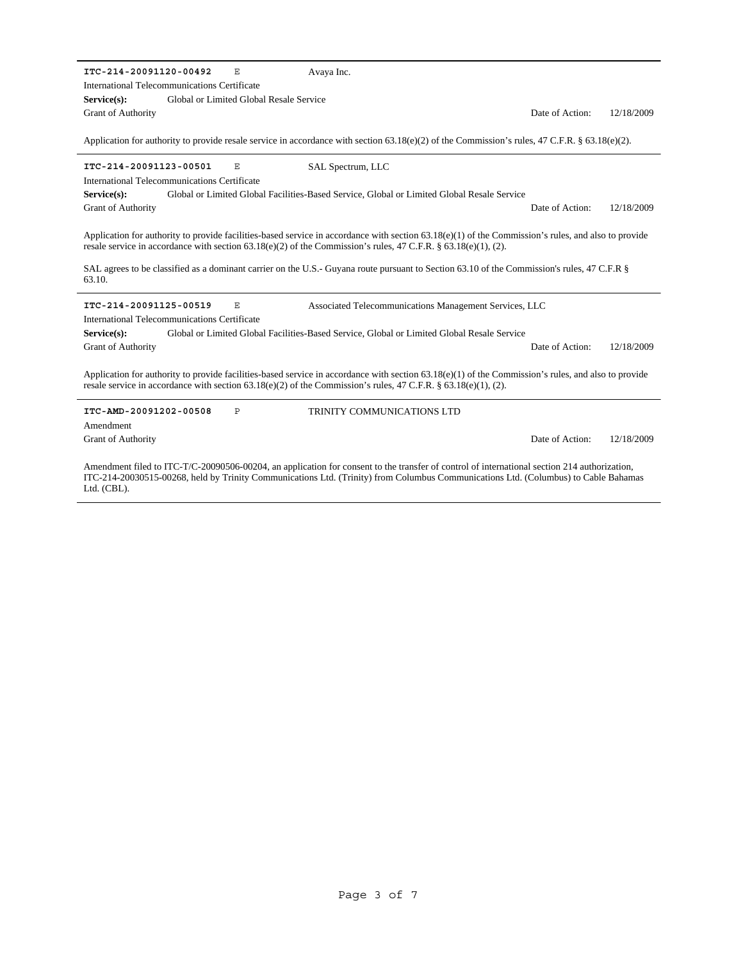| ITC-214-20091120-00492<br>$\mathbf{E}% _{t}$<br>Avaya Inc.                                                                                                                                                                                                                                                                                                                                                                            |                 |            |  |  |  |  |  |  |
|---------------------------------------------------------------------------------------------------------------------------------------------------------------------------------------------------------------------------------------------------------------------------------------------------------------------------------------------------------------------------------------------------------------------------------------|-----------------|------------|--|--|--|--|--|--|
| International Telecommunications Certificate                                                                                                                                                                                                                                                                                                                                                                                          |                 |            |  |  |  |  |  |  |
| Global or Limited Global Resale Service<br>$Service(s)$ :                                                                                                                                                                                                                                                                                                                                                                             |                 |            |  |  |  |  |  |  |
| <b>Grant of Authority</b>                                                                                                                                                                                                                                                                                                                                                                                                             | Date of Action: | 12/18/2009 |  |  |  |  |  |  |
| Application for authority to provide resale service in accordance with section $63.18(e)(2)$ of the Commission's rules, 47 C.F.R. § 63.18(e)(2).                                                                                                                                                                                                                                                                                      |                 |            |  |  |  |  |  |  |
| ITC-214-20091123-00501<br>E<br>SAL Spectrum, LLC                                                                                                                                                                                                                                                                                                                                                                                      |                 |            |  |  |  |  |  |  |
| International Telecommunications Certificate                                                                                                                                                                                                                                                                                                                                                                                          |                 |            |  |  |  |  |  |  |
| Global or Limited Global Facilities-Based Service, Global or Limited Global Resale Service<br>Service(s):                                                                                                                                                                                                                                                                                                                             |                 |            |  |  |  |  |  |  |
| <b>Grant of Authority</b>                                                                                                                                                                                                                                                                                                                                                                                                             | Date of Action: | 12/18/2009 |  |  |  |  |  |  |
| Application for authority to provide facilities-based service in accordance with section $63.18(e)(1)$ of the Commission's rules, and also to provide<br>resale service in accordance with section $63.18(e)(2)$ of the Commission's rules, 47 C.F.R. § $63.18(e)(1)$ , (2).<br>SAL agrees to be classified as a dominant carrier on the U.S.- Guyana route pursuant to Section 63.10 of the Commission's rules, 47 C.F.R §<br>63.10. |                 |            |  |  |  |  |  |  |
| ITC-214-20091125-00519<br>E<br>Associated Telecommunications Management Services, LLC                                                                                                                                                                                                                                                                                                                                                 |                 |            |  |  |  |  |  |  |
| International Telecommunications Certificate                                                                                                                                                                                                                                                                                                                                                                                          |                 |            |  |  |  |  |  |  |
| Global or Limited Global Facilities-Based Service, Global or Limited Global Resale Service<br>Service(s):                                                                                                                                                                                                                                                                                                                             |                 |            |  |  |  |  |  |  |
| Grant of Authority                                                                                                                                                                                                                                                                                                                                                                                                                    | Date of Action: | 12/18/2009 |  |  |  |  |  |  |
| Application for authority to provide facilities-based service in accordance with section $63.18(e)(1)$ of the Commission's rules, and also to provide<br>resale service in accordance with section $63.18(e)(2)$ of the Commission's rules, 47 C.F.R. § $63.18(e)(1)$ , (2).                                                                                                                                                          |                 |            |  |  |  |  |  |  |
| ITC-AMD-20091202-00508<br>P<br>TRINITY COMMUNICATIONS LTD<br>Amendment                                                                                                                                                                                                                                                                                                                                                                |                 |            |  |  |  |  |  |  |
| <b>Grant of Authority</b>                                                                                                                                                                                                                                                                                                                                                                                                             | Date of Action: | 12/18/2009 |  |  |  |  |  |  |
|                                                                                                                                                                                                                                                                                                                                                                                                                                       |                 |            |  |  |  |  |  |  |

Amendment filed to ITC-T/C-20090506-00204, an application for consent to the transfer of control of international section 214 authorization, ITC-214-20030515-00268, held by Trinity Communications Ltd. (Trinity) from Columbus Communications Ltd. (Columbus) to Cable Bahamas Ltd. (CBL).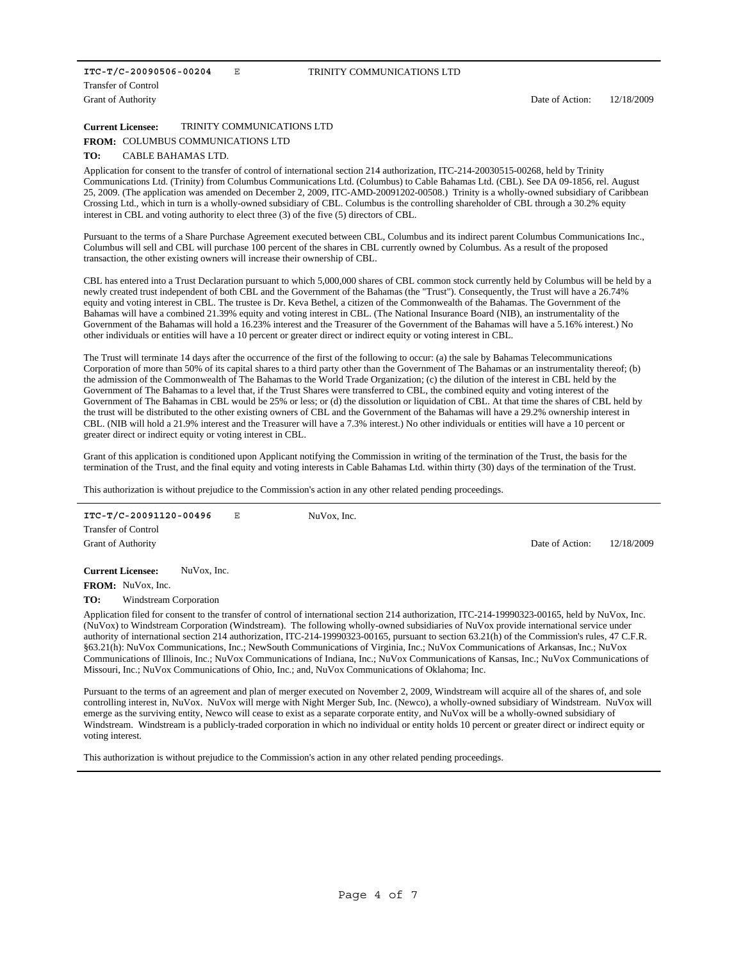#### **ITC-T/C-20090506-00204** E Transfer of Control

Grant of Authority

#### TRINITY COMMUNICATIONS LTD

Date of Action: 12/18/2009

**Current Licensee:** TRINITY COMMUNICATIONS LTD

#### FROM: COLUMBUS COMMUNICATIONS LTD

#### **TO:** CABLE BAHAMAS LTD.

Application for consent to the transfer of control of international section 214 authorization, ITC-214-20030515-00268, held by Trinity Communications Ltd. (Trinity) from Columbus Communications Ltd. (Columbus) to Cable Bahamas Ltd. (CBL). See DA 09-1856, rel. August 25, 2009. (The application was amended on December 2, 2009, ITC-AMD-20091202-00508.) Trinity is a wholly-owned subsidiary of Caribbean Crossing Ltd., which in turn is a wholly-owned subsidiary of CBL. Columbus is the controlling shareholder of CBL through a 30.2% equity interest in CBL and voting authority to elect three (3) of the five (5) directors of CBL.

Pursuant to the terms of a Share Purchase Agreement executed between CBL, Columbus and its indirect parent Columbus Communications Inc., Columbus will sell and CBL will purchase 100 percent of the shares in CBL currently owned by Columbus. As a result of the proposed transaction, the other existing owners will increase their ownership of CBL.

CBL has entered into a Trust Declaration pursuant to which 5,000,000 shares of CBL common stock currently held by Columbus will be held by a newly created trust independent of both CBL and the Government of the Bahamas (the "Trust"). Consequently, the Trust will have a 26.74% equity and voting interest in CBL. The trustee is Dr. Keva Bethel, a citizen of the Commonwealth of the Bahamas. The Government of the Bahamas will have a combined 21.39% equity and voting interest in CBL. (The National Insurance Board (NIB), an instrumentality of the Government of the Bahamas will hold a 16.23% interest and the Treasurer of the Government of the Bahamas will have a 5.16% interest.) No other individuals or entities will have a 10 percent or greater direct or indirect equity or voting interest in CBL.

The Trust will terminate 14 days after the occurrence of the first of the following to occur: (a) the sale by Bahamas Telecommunications Corporation of more than 50% of its capital shares to a third party other than the Government of The Bahamas or an instrumentality thereof; (b) the admission of the Commonwealth of The Bahamas to the World Trade Organization; (c) the dilution of the interest in CBL held by the Government of The Bahamas to a level that, if the Trust Shares were transferred to CBL, the combined equity and voting interest of the Government of The Bahamas in CBL would be 25% or less; or (d) the dissolution or liquidation of CBL. At that time the shares of CBL held by the trust will be distributed to the other existing owners of CBL and the Government of the Bahamas will have a 29.2% ownership interest in CBL. (NIB will hold a 21.9% interest and the Treasurer will have a 7.3% interest.) No other individuals or entities will have a 10 percent or greater direct or indirect equity or voting interest in CBL.

Grant of this application is conditioned upon Applicant notifying the Commission in writing of the termination of the Trust, the basis for the termination of the Trust, and the final equity and voting interests in Cable Bahamas Ltd. within thirty (30) days of the termination of the Trust.

This authorization is without prejudice to the Commission's action in any other related pending proceedings.

| ITC-T/C-20091120-00496     |             | Е | NuVox, Inc. |                 |            |
|----------------------------|-------------|---|-------------|-----------------|------------|
| <b>Transfer of Control</b> |             |   |             |                 |            |
| <b>Grant of Authority</b>  |             |   |             | Date of Action: | 12/18/2009 |
|                            |             |   |             |                 |            |
| <b>Current Licensee:</b>   | NuVox, Inc. |   |             |                 |            |

FROM: NuVox, Inc.

**TO:** Windstream Corporation

Application filed for consent to the transfer of control of international section 214 authorization, ITC-214-19990323-00165, held by NuVox, Inc. (NuVox) to Windstream Corporation (Windstream). The following wholly-owned subsidiaries of NuVox provide international service under authority of international section 214 authorization, ITC-214-19990323-00165, pursuant to section 63.21(h) of the Commission's rules, 47 C.F.R. §63.21(h): NuVox Communications, Inc.; NewSouth Communications of Virginia, Inc.; NuVox Communications of Arkansas, Inc.; NuVox Communications of Illinois, Inc.; NuVox Communications of Indiana, Inc.; NuVox Communications of Kansas, Inc.; NuVox Communications of Missouri, Inc.; NuVox Communications of Ohio, Inc.; and, NuVox Communications of Oklahoma; Inc.

Pursuant to the terms of an agreement and plan of merger executed on November 2, 2009, Windstream will acquire all of the shares of, and sole controlling interest in, NuVox. NuVox will merge with Night Merger Sub, Inc. (Newco), a wholly-owned subsidiary of Windstream. NuVox will emerge as the surviving entity, Newco will cease to exist as a separate corporate entity, and NuVox will be a wholly-owned subsidiary of Windstream. Windstream is a publicly-traded corporation in which no individual or entity holds 10 percent or greater direct or indirect equity or voting interest.

This authorization is without prejudice to the Commission's action in any other related pending proceedings.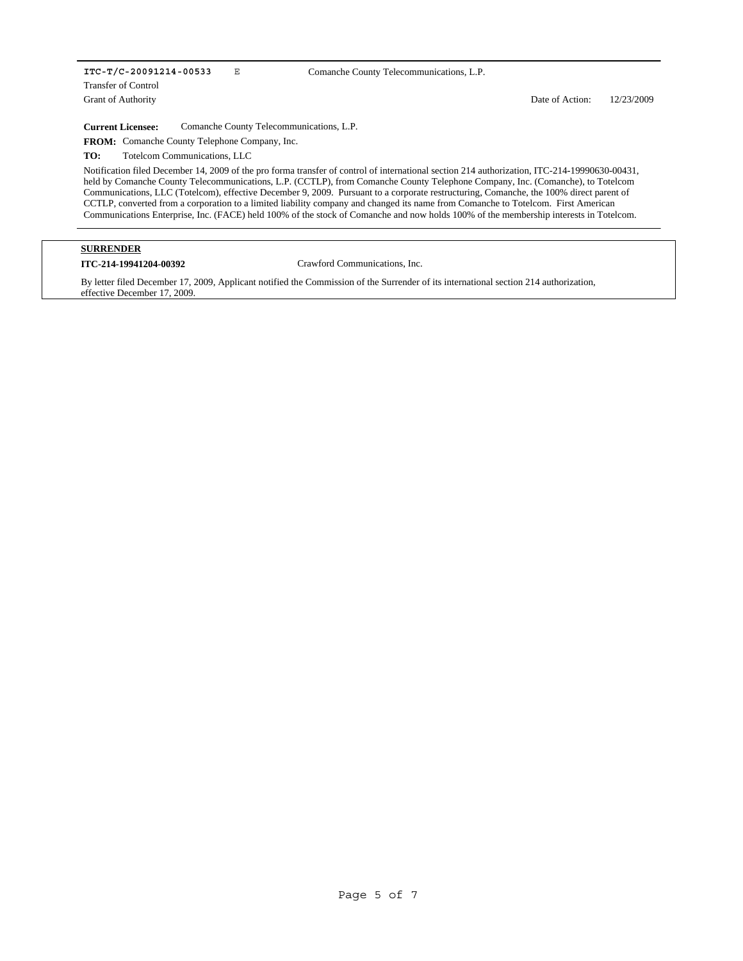## **ITC-T/C-20091214-00533** E

Grant of Authority Transfer of Control Comanche County Telecommunications, L.P.

Date of Action: 12/23/2009

**Current Licensee:** Comanche County Telecommunications, L.P.

FROM: Comanche County Telephone Company, Inc.

**TO:** Totelcom Communications, LLC

Notification filed December 14, 2009 of the pro forma transfer of control of international section 214 authorization, ITC-214-19990630-00431, held by Comanche County Telecommunications, L.P. (CCTLP), from Comanche County Telephone Company, Inc. (Comanche), to Totelcom Communications, LLC (Totelcom), effective December 9, 2009. Pursuant to a corporate restructuring, Comanche, the 100% direct parent of CCTLP, converted from a corporation to a limited liability company and changed its name from Comanche to Totelcom. First American Communications Enterprise, Inc. (FACE) held 100% of the stock of Comanche and now holds 100% of the membership interests in Totelcom.

# **SURRENDER**

#### **ITC-214-19941204-00392** Crawford Communications, Inc.

By letter filed December 17, 2009, Applicant notified the Commission of the Surrender of its international section 214 authorization, effective December 17, 2009.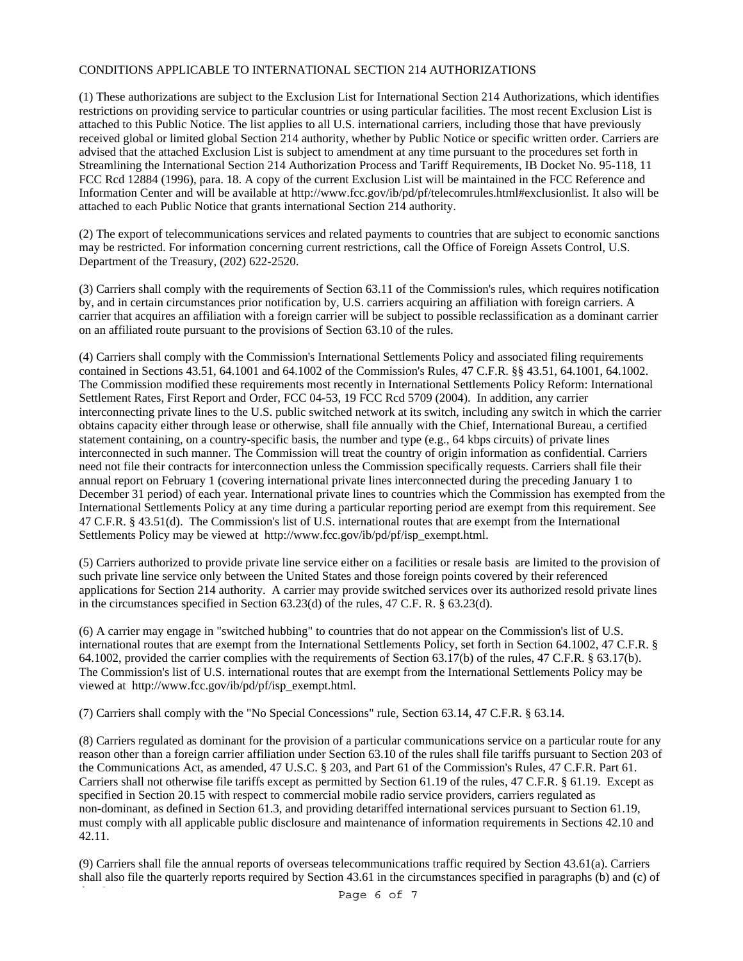# CONDITIONS APPLICABLE TO INTERNATIONAL SECTION 214 AUTHORIZATIONS

(1) These authorizations are subject to the Exclusion List for International Section 214 Authorizations, which identifies restrictions on providing service to particular countries or using particular facilities. The most recent Exclusion List is attached to this Public Notice. The list applies to all U.S. international carriers, including those that have previously received global or limited global Section 214 authority, whether by Public Notice or specific written order. Carriers are advised that the attached Exclusion List is subject to amendment at any time pursuant to the procedures set forth in Streamlining the International Section 214 Authorization Process and Tariff Requirements, IB Docket No. 95-118, 11 FCC Rcd 12884 (1996), para. 18. A copy of the current Exclusion List will be maintained in the FCC Reference and Information Center and will be available at http://www.fcc.gov/ib/pd/pf/telecomrules.html#exclusionlist. It also will be attached to each Public Notice that grants international Section 214 authority.

(2) The export of telecommunications services and related payments to countries that are subject to economic sanctions may be restricted. For information concerning current restrictions, call the Office of Foreign Assets Control, U.S. Department of the Treasury, (202) 622-2520.

(3) Carriers shall comply with the requirements of Section 63.11 of the Commission's rules, which requires notification by, and in certain circumstances prior notification by, U.S. carriers acquiring an affiliation with foreign carriers. A carrier that acquires an affiliation with a foreign carrier will be subject to possible reclassification as a dominant carrier on an affiliated route pursuant to the provisions of Section 63.10 of the rules.

(4) Carriers shall comply with the Commission's International Settlements Policy and associated filing requirements contained in Sections 43.51, 64.1001 and 64.1002 of the Commission's Rules, 47 C.F.R. §§ 43.51, 64.1001, 64.1002. The Commission modified these requirements most recently in International Settlements Policy Reform: International Settlement Rates, First Report and Order, FCC 04-53, 19 FCC Rcd 5709 (2004). In addition, any carrier interconnecting private lines to the U.S. public switched network at its switch, including any switch in which the carrier obtains capacity either through lease or otherwise, shall file annually with the Chief, International Bureau, a certified statement containing, on a country-specific basis, the number and type (e.g., 64 kbps circuits) of private lines interconnected in such manner. The Commission will treat the country of origin information as confidential. Carriers need not file their contracts for interconnection unless the Commission specifically requests. Carriers shall file their annual report on February 1 (covering international private lines interconnected during the preceding January 1 to December 31 period) of each year. International private lines to countries which the Commission has exempted from the International Settlements Policy at any time during a particular reporting period are exempt from this requirement. See 47 C.F.R. § 43.51(d). The Commission's list of U.S. international routes that are exempt from the International Settlements Policy may be viewed at http://www.fcc.gov/ib/pd/pf/isp\_exempt.html.

(5) Carriers authorized to provide private line service either on a facilities or resale basis are limited to the provision of such private line service only between the United States and those foreign points covered by their referenced applications for Section 214 authority. A carrier may provide switched services over its authorized resold private lines in the circumstances specified in Section 63.23(d) of the rules, 47 C.F. R. § 63.23(d).

(6) A carrier may engage in "switched hubbing" to countries that do not appear on the Commission's list of U.S. international routes that are exempt from the International Settlements Policy, set forth in Section 64.1002, 47 C.F.R. § 64.1002, provided the carrier complies with the requirements of Section 63.17(b) of the rules, 47 C.F.R. § 63.17(b). The Commission's list of U.S. international routes that are exempt from the International Settlements Policy may be viewed at http://www.fcc.gov/ib/pd/pf/isp\_exempt.html.

(7) Carriers shall comply with the "No Special Concessions" rule, Section 63.14, 47 C.F.R. § 63.14.

(8) Carriers regulated as dominant for the provision of a particular communications service on a particular route for any reason other than a foreign carrier affiliation under Section 63.10 of the rules shall file tariffs pursuant to Section 203 of the Communications Act, as amended, 47 U.S.C. § 203, and Part 61 of the Commission's Rules, 47 C.F.R. Part 61. Carriers shall not otherwise file tariffs except as permitted by Section 61.19 of the rules, 47 C.F.R. § 61.19. Except as specified in Section 20.15 with respect to commercial mobile radio service providers, carriers regulated as non-dominant, as defined in Section 61.3, and providing detariffed international services pursuant to Section 61.19, must comply with all applicable public disclosure and maintenance of information requirements in Sections 42.10 and 42.11.

(9) Carriers shall file the annual reports of overseas telecommunications traffic required by Section 43.61(a). Carriers shall also file the quarterly reports required by Section 43.61 in the circumstances specified in paragraphs (b) and (c) of

Page 6 of 7